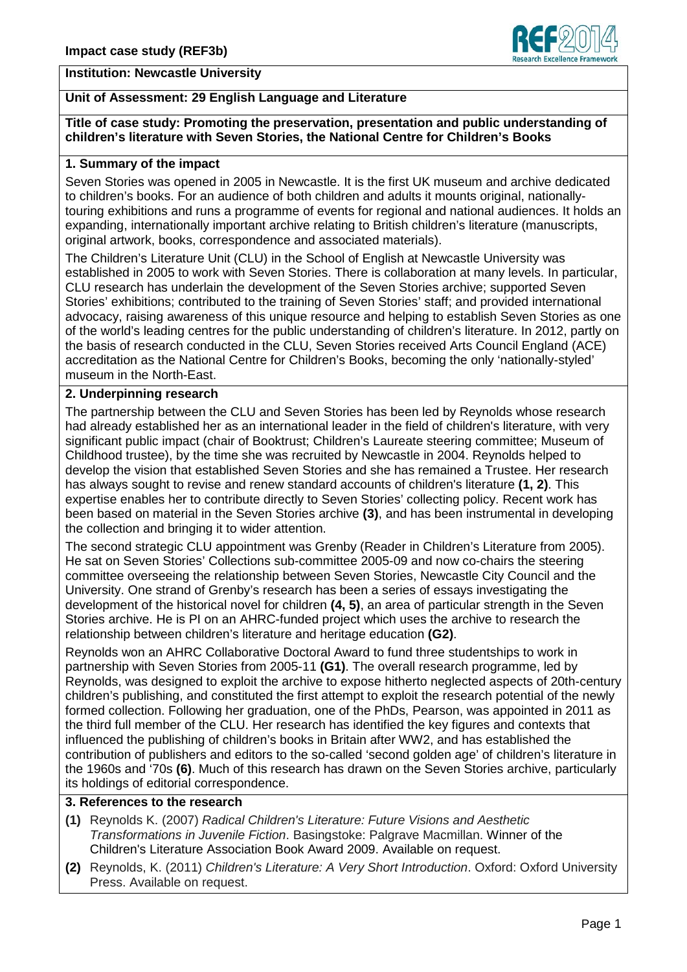

### **Institution: Newcastle University**

## **Unit of Assessment: 29 English Language and Literature**

### **Title of case study: Promoting the preservation, presentation and public understanding of children's literature with Seven Stories, the National Centre for Children's Books**

#### **1. Summary of the impact**

Seven Stories was opened in 2005 in Newcastle. It is the first UK museum and archive dedicated to children's books. For an audience of both children and adults it mounts original, nationallytouring exhibitions and runs a programme of events for regional and national audiences. It holds an expanding, internationally important archive relating to British children's literature (manuscripts, original artwork, books, correspondence and associated materials).

The Children's Literature Unit (CLU) in the School of English at Newcastle University was established in 2005 to work with Seven Stories. There is collaboration at many levels. In particular, CLU research has underlain the development of the Seven Stories archive; supported Seven Stories' exhibitions; contributed to the training of Seven Stories' staff; and provided international advocacy, raising awareness of this unique resource and helping to establish Seven Stories as one of the world's leading centres for the public understanding of children's literature. In 2012, partly on the basis of research conducted in the CLU, Seven Stories received Arts Council England (ACE) accreditation as the National Centre for Children's Books, becoming the only 'nationally-styled' museum in the North-East.

#### **2. Underpinning research**

The partnership between the CLU and Seven Stories has been led by Reynolds whose research had already established her as an international leader in the field of children's literature, with very significant public impact (chair of Booktrust; Children's Laureate steering committee; Museum of Childhood trustee), by the time she was recruited by Newcastle in 2004. Reynolds helped to develop the vision that established Seven Stories and she has remained a Trustee. Her research has always sought to revise and renew standard accounts of children's literature **(1, 2)**. This expertise enables her to contribute directly to Seven Stories' collecting policy. Recent work has been based on material in the Seven Stories archive **(3)**, and has been instrumental in developing the collection and bringing it to wider attention.

The second strategic CLU appointment was Grenby (Reader in Children's Literature from 2005). He sat on Seven Stories' Collections sub-committee 2005-09 and now co-chairs the steering committee overseeing the relationship between Seven Stories, Newcastle City Council and the University. One strand of Grenby's research has been a series of essays investigating the development of the historical novel for children **(4, 5)**, an area of particular strength in the Seven Stories archive. He is PI on an AHRC-funded project which uses the archive to research the relationship between children's literature and heritage education **(G2)**.

Reynolds won an AHRC Collaborative Doctoral Award to fund three studentships to work in partnership with Seven Stories from 2005-11 **(G1)**. The overall research programme, led by Reynolds, was designed to exploit the archive to expose hitherto neglected aspects of 20th-century children's publishing, and constituted the first attempt to exploit the research potential of the newly formed collection. Following her graduation, one of the PhDs, Pearson, was appointed in 2011 as the third full member of the CLU. Her research has identified the key figures and contexts that influenced the publishing of children's books in Britain after WW2, and has established the contribution of publishers and editors to the so-called 'second golden age' of children's literature in the 1960s and '70s **(6)**. Much of this research has drawn on the Seven Stories archive, particularly its holdings of editorial correspondence.

# **3. References to the research**

- **(1)** Reynolds K. (2007) *Radical Children's Literature: Future Visions and Aesthetic Transformations in Juvenile Fiction*. Basingstoke: Palgrave Macmillan. Winner of the Children's Literature Association Book Award 2009. Available on request.
- **(2)** Reynolds, K. (2011) *Children's Literature: A Very Short Introduction*. Oxford: Oxford University Press. Available on request.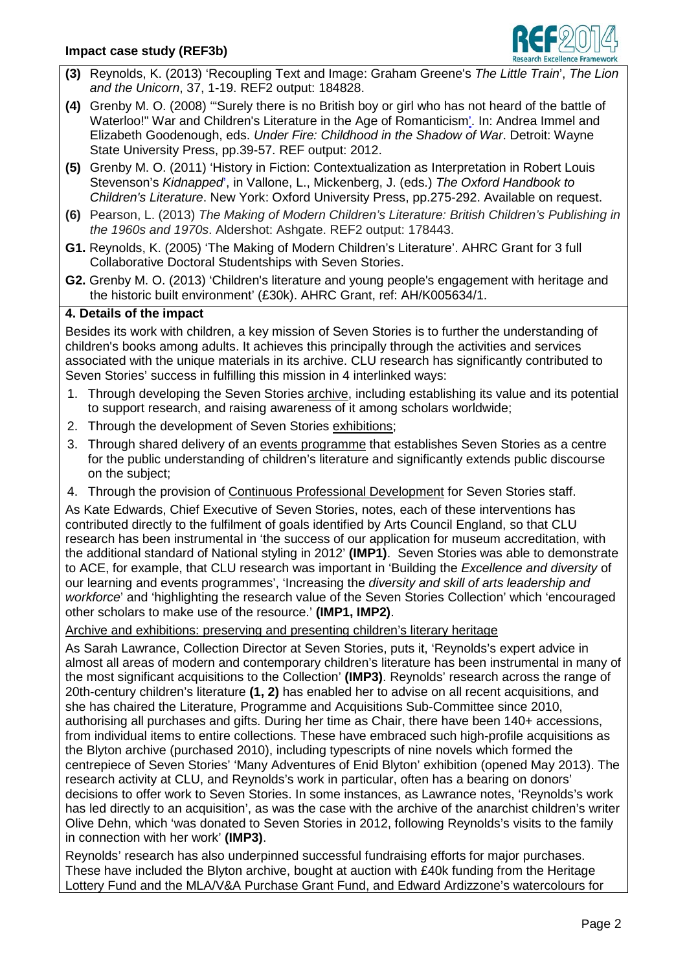

- **(3)** Reynolds, K. (2013) 'Recoupling Text and Image: Graham Greene's *The Little Train*', *The Lion and the Unicorn*, 37, 1-19. REF2 output: 184828.
- **(4)** Grenby M. O. (2008) '"Surely there is no British boy or girl who has not heard of the battle of Waterloo!" War and Children's Literature in the Age of Romanticism'. In: Andrea Immel and Elizabeth Goodenough, eds. *Under Fire: Childhood in the Shadow of War*. Detroit: Wayne State University Press, pp.39-57. REF output: 2012.
- **(5)** Grenby M. O. (2011) 'History in Fiction: Contextualization as Interpretation in Robert Louis Stevenson's *Kidnapped*', in Vallone, L., Mickenberg, J. (eds.) *The Oxford Handbook to Children's Literature*. New York: Oxford University Press, pp.275-292. Available on request.
- **(6)** Pearson, L. (2013) *The Making of Modern Children's Literature: British Children's Publishing in the 1960s and 1970s*. Aldershot: Ashgate. REF2 output: 178443.
- **G1.** Reynolds, K. (2005) 'The Making of Modern Children's Literature'. AHRC Grant for 3 full Collaborative Doctoral Studentships with Seven Stories.
- **G2.** Grenby M. O. (2013) 'Children's literature and young people's engagement with heritage and the historic built environment' (£30k). AHRC Grant, ref: AH/K005634/1.

# **4. Details of the impact**

Besides its work with children, a key mission of Seven Stories is to further the understanding of children's books among adults. It achieves this principally through the activities and services associated with the unique materials in its archive. CLU research has significantly contributed to Seven Stories' success in fulfilling this mission in 4 interlinked ways:

- 1. Through developing the Seven Stories archive, including establishing its value and its potential to support research, and raising awareness of it among scholars worldwide;
- 2. Through the development of Seven Stories exhibitions;
- 3. Through shared delivery of an events programme that establishes Seven Stories as a centre for the public understanding of children's literature and significantly extends public discourse on the subject;
- 4. Through the provision of Continuous Professional Development for Seven Stories staff.

As Kate Edwards, Chief Executive of Seven Stories, notes, each of these interventions has contributed directly to the fulfilment of goals identified by Arts Council England, so that CLU research has been instrumental in 'the success of our application for museum accreditation, with the additional standard of National styling in 2012' **(IMP1)**. Seven Stories was able to demonstrate to ACE, for example, that CLU research was important in 'Building the *Excellence and diversity* of our learning and events programmes', 'Increasing the *diversity and skill of arts leadership and workforce*' and 'highlighting the research value of the Seven Stories Collection' which 'encouraged other scholars to make use of the resource.' **(IMP1, IMP2)**.

Archive and exhibitions: preserving and presenting children's literary heritage

As Sarah Lawrance, Collection Director at Seven Stories, puts it, 'Reynolds's expert advice in almost all areas of modern and contemporary children's literature has been instrumental in many of the most significant acquisitions to the Collection' **(IMP3)**. Reynolds' research across the range of 20th-century children's literature **(1, 2)** has enabled her to advise on all recent acquisitions, and she has chaired the Literature, Programme and Acquisitions Sub-Committee since 2010, authorising all purchases and gifts. During her time as Chair, there have been 140+ accessions, from individual items to entire collections. These have embraced such high-profile acquisitions as the Blyton archive (purchased 2010), including typescripts of nine novels which formed the centrepiece of Seven Stories' 'Many Adventures of Enid Blyton' exhibition (opened May 2013). The research activity at CLU, and Reynolds's work in particular, often has a bearing on donors' decisions to offer work to Seven Stories. In some instances, as Lawrance notes, 'Reynolds's work has led directly to an acquisition', as was the case with the archive of the anarchist children's writer Olive Dehn, which 'was donated to Seven Stories in 2012, following Reynolds's visits to the family in connection with her work' **(IMP3)**.

Reynolds' research has also underpinned successful fundraising efforts for major purchases. These have included the Blyton archive, bought at auction with £40k funding from the Heritage Lottery Fund and the MLA/V&A Purchase Grant Fund, and Edward Ardizzone's watercolours for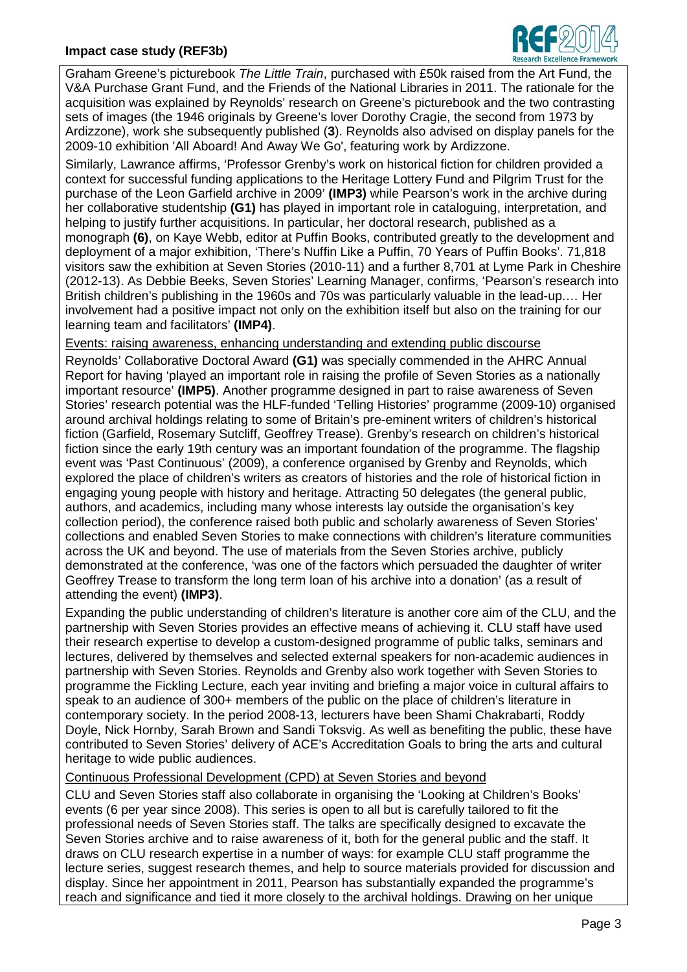

Graham Greene's picturebook *The Little Train*, purchased with £50k raised from the Art Fund, the V&A Purchase Grant Fund, and the Friends of the National Libraries in 2011. The rationale for the acquisition was explained by Reynolds' research on Greene's picturebook and the two contrasting sets of images (the 1946 originals by Greene's lover Dorothy Cragie, the second from 1973 by Ardizzone), work she subsequently published (**3**). Reynolds also advised on display panels for the 2009-10 exhibition 'All Aboard! And Away We Go', featuring work by Ardizzone.

Similarly, Lawrance affirms, 'Professor Grenby's work on historical fiction for children provided a context for successful funding applications to the Heritage Lottery Fund and Pilgrim Trust for the purchase of the Leon Garfield archive in 2009' **(IMP3)** while Pearson's work in the archive during her collaborative studentship **(G1)** has played in important role in cataloguing, interpretation, and helping to justify further acquisitions. In particular, her doctoral research, published as a monograph **(6)**, on Kaye Webb, editor at Puffin Books, contributed greatly to the development and deployment of a major exhibition, 'There's Nuffin Like a Puffin, 70 Years of Puffin Books'. 71,818 visitors saw the exhibition at Seven Stories (2010-11) and a further 8,701 at Lyme Park in Cheshire (2012-13). As Debbie Beeks, Seven Stories' Learning Manager, confirms, 'Pearson's research into British children's publishing in the 1960s and 70s was particularly valuable in the lead-up.… Her involvement had a positive impact not only on the exhibition itself but also on the training for our learning team and facilitators' **(IMP4)**.

Events: raising awareness, enhancing understanding and extending public discourse

Reynolds' Collaborative Doctoral Award **(G1)** was specially commended in the AHRC Annual Report for having 'played an important role in raising the profile of Seven Stories as a nationally important resource' **(IMP5)**. Another programme designed in part to raise awareness of Seven Stories' research potential was the HLF-funded 'Telling Histories' programme (2009-10) organised around archival holdings relating to some of Britain's pre-eminent writers of children's historical fiction (Garfield, Rosemary Sutcliff, Geoffrey Trease). Grenby's research on children's historical fiction since the early 19th century was an important foundation of the programme. The flagship event was 'Past Continuous' (2009), a conference organised by Grenby and Reynolds, which explored the place of children's writers as creators of histories and the role of historical fiction in engaging young people with history and heritage. Attracting 50 delegates (the general public, authors, and academics, including many whose interests lay outside the organisation's key collection period), the conference raised both public and scholarly awareness of Seven Stories' collections and enabled Seven Stories to make connections with children's literature communities across the UK and beyond. The use of materials from the Seven Stories archive, publicly demonstrated at the conference, 'was one of the factors which persuaded the daughter of writer Geoffrey Trease to transform the long term loan of his archive into a donation' (as a result of attending the event) **(IMP3)**.

Expanding the public understanding of children's literature is another core aim of the CLU, and the partnership with Seven Stories provides an effective means of achieving it. CLU staff have used their research expertise to develop a custom-designed programme of public talks, seminars and lectures, delivered by themselves and selected external speakers for non-academic audiences in partnership with Seven Stories. Reynolds and Grenby also work together with Seven Stories to programme the Fickling Lecture, each year inviting and briefing a major voice in cultural affairs to speak to an audience of 300+ members of the public on the place of children's literature in contemporary society. In the period 2008-13, lecturers have been Shami Chakrabarti, Roddy Doyle, Nick Hornby, Sarah Brown and Sandi Toksvig. As well as benefiting the public, these have contributed to Seven Stories' delivery of ACE's Accreditation Goals to bring the arts and cultural heritage to wide public audiences.

#### Continuous Professional Development (CPD) at Seven Stories and beyond

CLU and Seven Stories staff also collaborate in organising the 'Looking at Children's Books' events (6 per year since 2008). This series is open to all but is carefully tailored to fit the professional needs of Seven Stories staff. The talks are specifically designed to excavate the Seven Stories archive and to raise awareness of it, both for the general public and the staff. It draws on CLU research expertise in a number of ways: for example CLU staff programme the lecture series, suggest research themes, and help to source materials provided for discussion and display. Since her appointment in 2011, Pearson has substantially expanded the programme's reach and significance and tied it more closely to the archival holdings. Drawing on her unique